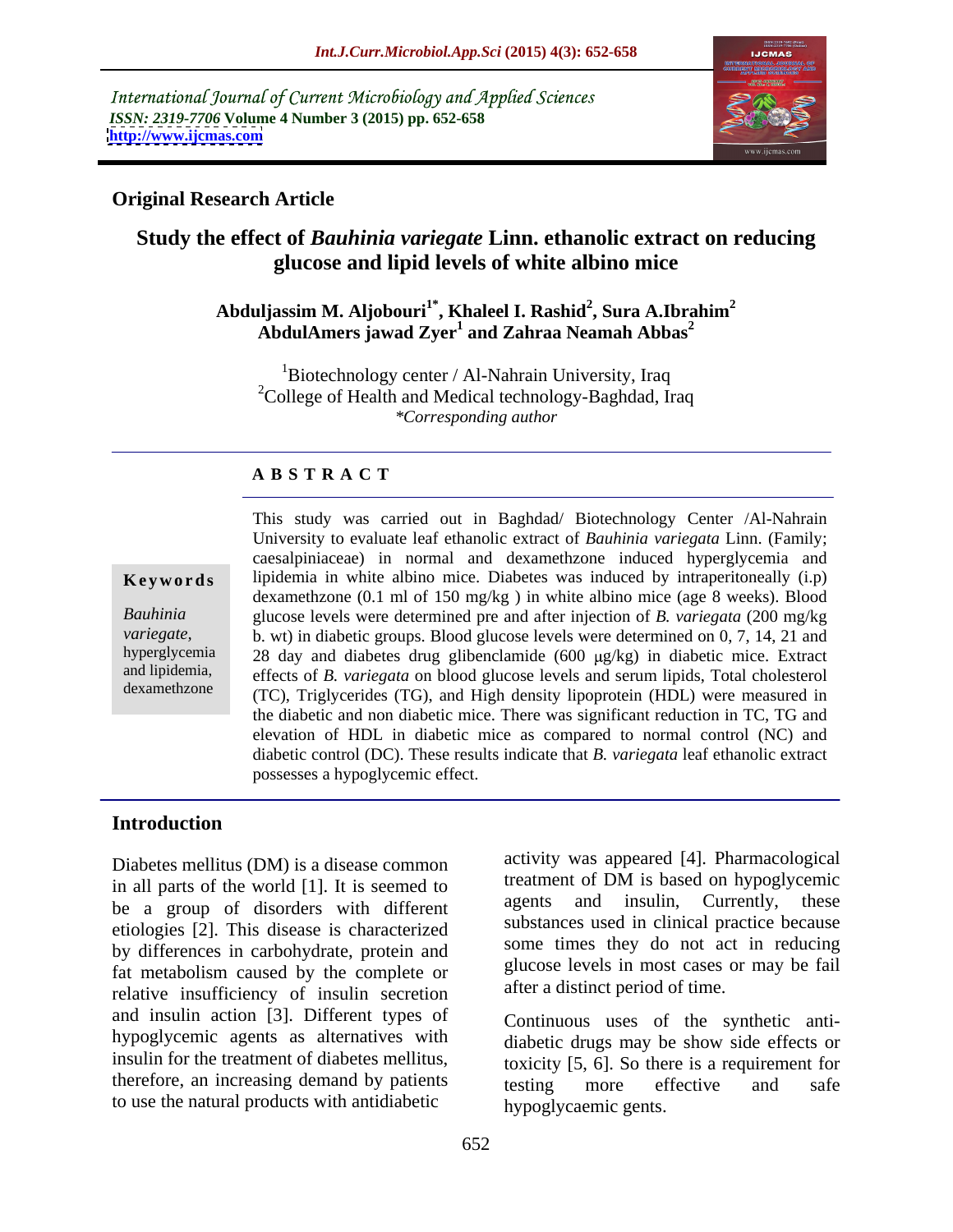International Journal of Current Microbiology and Applied Sciences *ISSN: 2319-7706* **Volume 4 Number 3 (2015) pp. 652-658 <http://www.ijcmas.com>**



## **Original Research Article**

## **Study the effect of** *Bauhinia variegate* **Linn. ethanolic extract on reducing glucose and lipid levels of white albino mice**

### **Abduljassim M. Aljobouri1\* , Khaleel I. Rashid<sup>2</sup> , Sura A.Ibrahim<sup>2</sup> AbdulAmers jawad Zyer<sup>1</sup> and Zahraa Neamah Abbas<sup>2</sup>**

<sup>1</sup>Biotechnology center / Al-Nahrain University, Iraq <sup>2</sup>College of Health and Medical technology-Baghdad, Iraq *\*Corresponding author*

## **A B S T R A C T**

dexamethzone

This study was carried out in Baghdad/ Biotechnology Center /Al-Nahrain University to evaluate leaf ethanolic extract of *Bauhinia variegata* Linn. (Family; caesalpiniaceae) in normal and dexamethzone induced hyperglycemia and **Keywords** lipidemia in white albino mice. Diabetes was induced by intraperitoneally (i.p) dexamethzone (0.1 ml of 150 mg/kg ) in white albino mice (age 8 weeks). Blood glucose levels were determined pre and after injection of *B. variegata* (200 mg/kg *Bauhinia*  b. wt) in diabetic groups. Blood glucose levels were determined on 0, 7, 14, 21 and *variegate,* hyperglycemia 28 day and diabetes drug glibenclamide (600 µg/kg) in diabetic mice. Extract and lipidemia, effects of *B. variegata* on blood glucose levels and serum lipids, Total cholesterol (TC), Triglycerides (TG), and High density lipoprotein (HDL) were measured in the diabetic and non diabetic mice. Therewas significant reduction in TC, TG and elevation of HDL in diabetic mice as compared to normal control (NC) and diabetic control (DC). These results indicate that *B. variegata* leaf ethanolic extract possesses a hypoglycemic effect.

## **Introduction**

Diabetes mellitus (DM) is a disease common in all parts of the world [1]. It is seemed to be a group of disorders with different etiologies [2]. This disease is characterized by differences in carbohydrate, protein and fat metabolism caused by the complete or relative insufficiency of insulin secretion and insulin action [3]. Different types of hypoglycemic agents as alternatives with insulin for the treatment of diabetes mellitus, therefore, an increasing demand by patients the effective and safe to use the natural products with antidiabetic

activity was appeared [4]. Pharmacological treatment of DM is based on hypoglycemic agents and insulin, Currently, these substances used in clinical practice because some times they do not act in reducing glucose levels in most cases or may be fail after a distinct period of time.

Continuous uses of the synthetic anti diabetic drugs may be show side effects or toxicity [5, 6]. So there is a requirement for testing more effective and safe hypoglycaemic gents.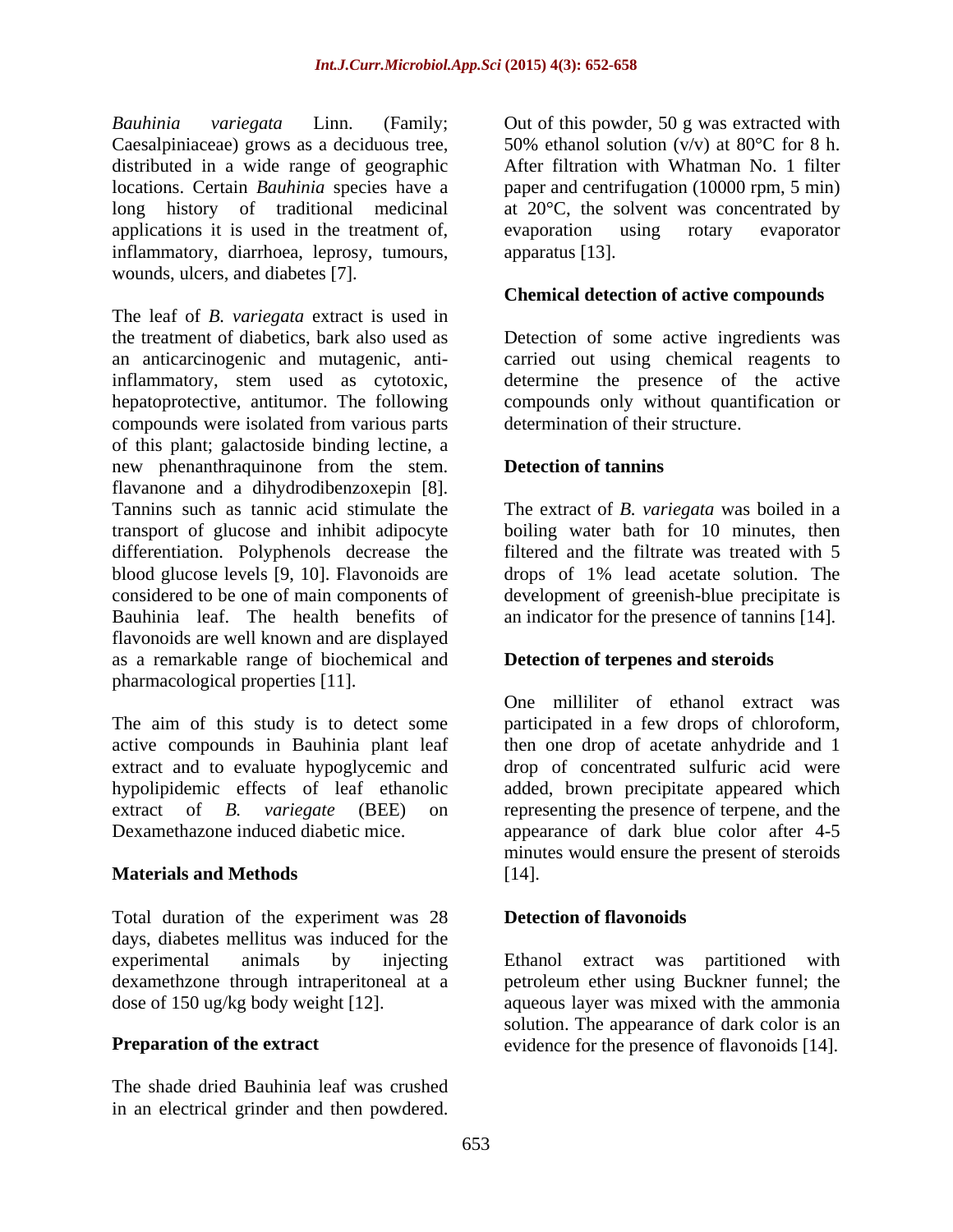*Bauhinia variegata* Linn. (Family; Caesalpiniaceae) grows as a deciduous tree,  $50\%$  ethanol solution (v/v) at 80 $^{\circ}$ C for 8 h. distributed in a wide range of geographic locations. Certain *Bauhinia* species have a paper and centrifugation (10000 rpm, 5 min) long history of traditional medicinal at 20°C, the solvent was concentrated by applications it is used in the treatment of, evaporation using rotary evaporator inflammatory, diarrhoea, leprosy, tumours, wounds, ulcers, and diabetes [7].

The leaf of *B. variegata* extract is used in the treatment of diabetics, bark also used as Detection of some active ingredients was an anticarcinogenic and mutagenic, anti-carried out using chemical reagents to inflammatory, stem used as cytotoxic, determine the presence of the active hepatoprotective, antitumor. The following compounds only without quantification or compounds were isolated from various parts of this plant; galactoside binding lectine, a new phenanthraquinone from the stem. flavanone and a dihydrodibenzoxepin [8]. Tannins such as tannic acid stimulate the The extract of *B. variegata* was boiled in a transport of glucose and inhibit adipocyte boiling water bath for 10 minutes, then differentiation. Polyphenols decrease the blood glucose levels [9, 10]. Flavonoids are drops of 1% lead acetate solution. The considered to be one of main components of development of greenish-blue precipitate is Bauhinia leaf. The health benefits of flavonoids are well known and are displayed as a remarkable range of biochemical and pharmacological properties [11]. *Bookovice* control in the power is the distribution of this power for the distribution of the mass of specific and the mass of specific and the mass of the mas of the mas of the mas of the mas of the mas of the mas of t

The aim of this study is to detect some active compounds in Bauhinia plant leaf then one drop of acetate anhydride and 1 extract and to evaluate hypoglycemic and<br>hypolipidemic effects of leaf ethanolic hypolipidemic effects of leaf ethanolic added, brown precipitate appeared which extract of *B. variegate* (BEE) on representing the presence of terpene, and the

## **Materials and Methods**

Total duration of the experiment was 28 days, diabetes mellitus was induced for the experimental animals by injecting Ethanol extract was partitioned with dexamethzone through intraperitoneal at a petroleum ether using Buckner funnel; the dose of 150 ug/kg body weight [12]. aqueous layer was mixed with the ammonia

The shade dried Bauhinia leaf was crushed

50% ethanol solution  $(v/v)$  at 80°C for 8 h. After filtration with Whatman No. 1 filter evaporation using rotary evaporator apparatus [13].

## **Chemical detection of active compounds**

determination of their structure.

## **Detection of tannins**

filtered and the filtrate was treated with 5 an indicator for the presence of tannins [14].

## **Detection of terpenes and steroids**

Dexamethazone induced diabetic mice. appearance of dark blue color after 4-5 One milliliter of ethanol extract was participated in a few drops of chloroform, drop of concentrated sulfuric acid were minutes would ensure the present of steroids [14].

## **Detection of flavonoids**

**Preparation of the extract** evidence for the presence of flavonoids [14]. solution. The appearance of dark color is an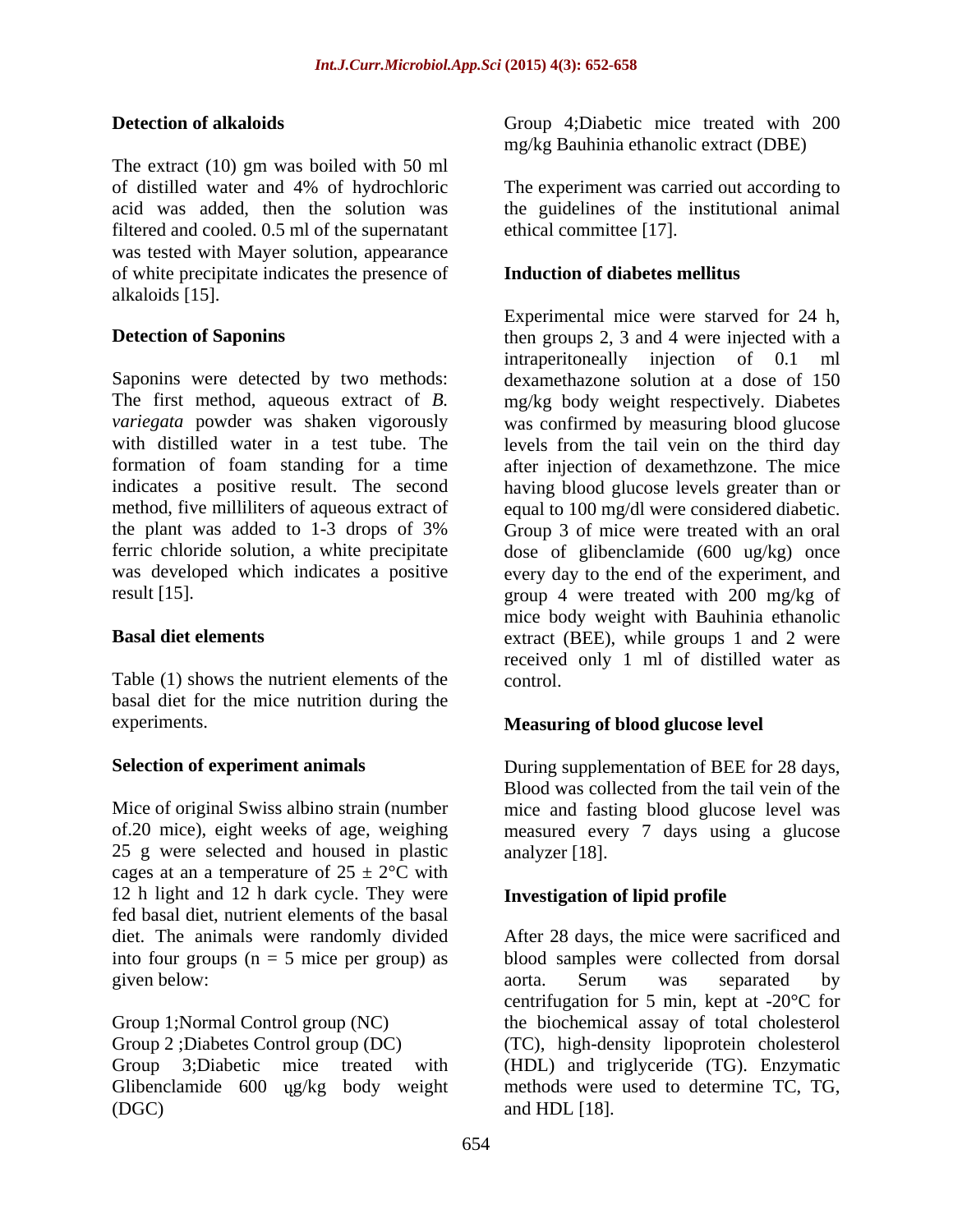The extract (10) gm was boiled with 50 ml of distilled water and 4% of hydrochloric The experiment was carried out according to acid was added, then the solution was the guidelines of the institutional animal filtered and cooled. 0.5 ml of the supernatant was tested with Mayer solution, appearance of white precipitate indicates the presence of alkaloids [15].

Saponins were detected by two methods: dexamethazone solution at a dose of 150 The first method, aqueous extract of *B.* mg/kg body weight respectively. Diabetes *variegata* powder was shaken vigorously was confirmed by measuring blood glucose with distilled water in a test tube. The levels from the tail vein on the third day formation of foam standing for a time after injection of dexamethzone. The mice indicates a positive result. The second having blood glucose levels greater than or method, five milliliters of aqueous extract of equal to 100 mg/dl were considered diabetic. the plant was added to 1-3 drops of 3% Group 3 of mice were treated with an oral ferric chloride solution, a white precipitate dose of glibenclamide (600 ug/kg) once was developed which indicates a positive every day to the end of the experiment, and

Table (1) shows the nutrient elements of the control. basal diet for the mice nutrition during the experiments. **Measuring of blood glucose level** 

Mice of original Swiss albino strain (number mice and fasting blood glucose level was of.20 mice), eight weeks of age, weighing measured every 7 days using a glucose 25 g were selected and housed in plastic cages at an a temperature of  $25 \pm 2$ °C with 12 h light and 12 h dark cycle. They were fed basal diet, nutrient elements of the basal

**Detection of alkaloids** Group 4;Diabetic mice treated with 200 mg/kg Bauhinia ethanolic extract (DBE)

ethical committee [17].

## **Induction of diabetes mellitus**

**Detection of Saponins then groups 2, 3 and 4 were injected with a** result [15]. group 4 were treated with 200 mg/kg of **Basal diet elements** extract (BEE), while groups 1 and 2 were Experimental mice were starved for 24 h, intraperitoneally injection of 0.1 ml mice body weight with Bauhinia ethanolic received only 1 ml of distilled water as control.

Selection of experiment animals **During supplementation of BEE** for 28 days, Blood was collected from the tail vein of the analyzer [18].

## **Investigation of lipid profile**

diet. The animals were randomly divided After 28 days, the mice were sacrificed and into four groups (n = 5 mice per group) as blood samples were collected from dorsal given below: the contraction of the contraction of the contraction of the second of the contraction of the contraction of the contraction of the contraction of the contraction of the contraction of the contraction of the c Group 1;Normal Control group (NC) the biochemical assay of total cholesterol Group 2 ;Diabetes Control group (DC) (TC), high-density lipoprotein cholesterol Group 3;Diabetic mice treated with (HDL) and triglyceride (TG). Enzymatic Glibenclamide 600 ug/kg body weight methods were used to determine TC, TG,  $(DGC)$  and HDL  $[18]$ . aorta. Serum was separated by centrifugation for 5 min, kept at -20°C for and HDL [18].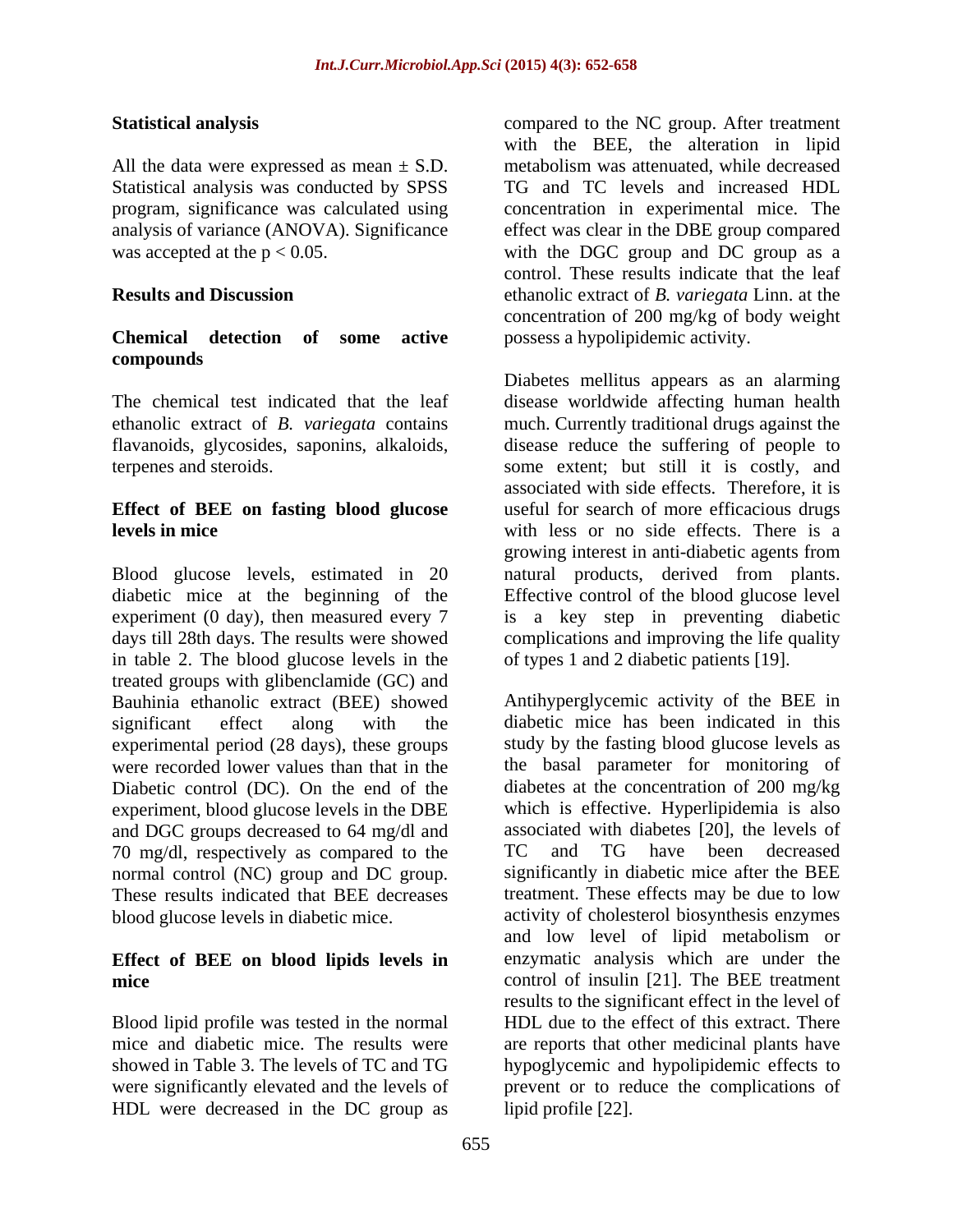All the data were expressed as mean  $\pm$  S.D. metabolism was attenuated, while decreased

# **compounds**

## **Effect of BEE on fasting blood glucose**

diabetic mice at the beginning of the experiment (0 day), then measured every 7 is a key step in preventing diabetic days till 28th days. The results were showed complications and improving the life quality in table 2. The blood glucose levels in the treated groups with glibenclamide (GC) and Bauhinia ethanolic extract (BEE) showed Diabetic control (DC). On the end of the experiment, blood glucose levels in the DBE and DGC groups decreased to 64 mg/dl and 70 mg/dl, respectively as compared to the TC and TG have been decreased normal control (NC) group and DC group. These results indicated that BEE decreases

## **Effect of BEE on blood lipids levels in**

HDL were decreased in the DC group as

**Statistical analysis** compared to the NC group. After treatment Statistical analysis was conducted by SPSS TG and TC levels and increased HDL program, significance was calculated using concentration in experimental mice. The analysis of variance (ANOVA). Significance effect was clear in the DBE group compared was accepted at the  $p < 0.05$ . with the DGC group and DC group as a **Results and Discussion** ethanolic extract of *B. variegata* Linn. at the **Chemical detection of some active** possess a hypolipidemic activity. with the BEE, the alteration in lipid metabolism was attenuated, while decreased control. These results indicate that the leaf concentration of 200 mg/kg of body weight

The chemical test indicated that the leaf disease worldwide affecting human health ethanolic extract of *B. variegata* contains much. Currently traditional drugs against the flavanoids, glycosides, saponins, alkaloids, disease reduce the suffering of people to terpenes and steroids. Some extent; but still it is costly, and **levels in mice** with less or no side effects. There is a growing interest in anti-diabetic agents from<br>Blood glucose levels, estimated in 20 antural products, derived from plants. Diabetes mellitus appears as an alarming associated with side effects. Therefore, it is useful for search of more efficacious drugs growing interest in anti-diabetic agents from natural products, derived from plants. Effective control of the blood glucose level of types 1 and 2 diabetic patients [19].

significant effect along with the diabetic mice has been indicated in this experimental period (28 days), these groups study by the fasting blood glucose levels as were recorded lower values than that in the the basal parameter for monitoring of blood glucose levels in diabetic mice. activity of cholesterol biosynthesis enzymes **mice** control of insulin [21]. The BEE treatment Blood lipid profile was tested in the normal HDL due to the effect of this extract. There mice and diabetic mice. The results were are reports that other medicinal plants have showed in Table 3. The levels of TC and TG hypoglycemic and hypolipidemic effects to were significantly elevated and the levels of prevent or to reduce the complications of Antihyperglycemic activity of the BEE in diabetes at the concentration of 200 mg/kg which is effective. Hyperlipidemia is also associated with diabetes [20], the levels of TC and TG have been decreased significantly in diabetic mice after the BEE treatment. These effects may be due to low and low level of lipid metabolism or enzymatic analysis which are under the results to the significant effect in the level of lipid profile [22].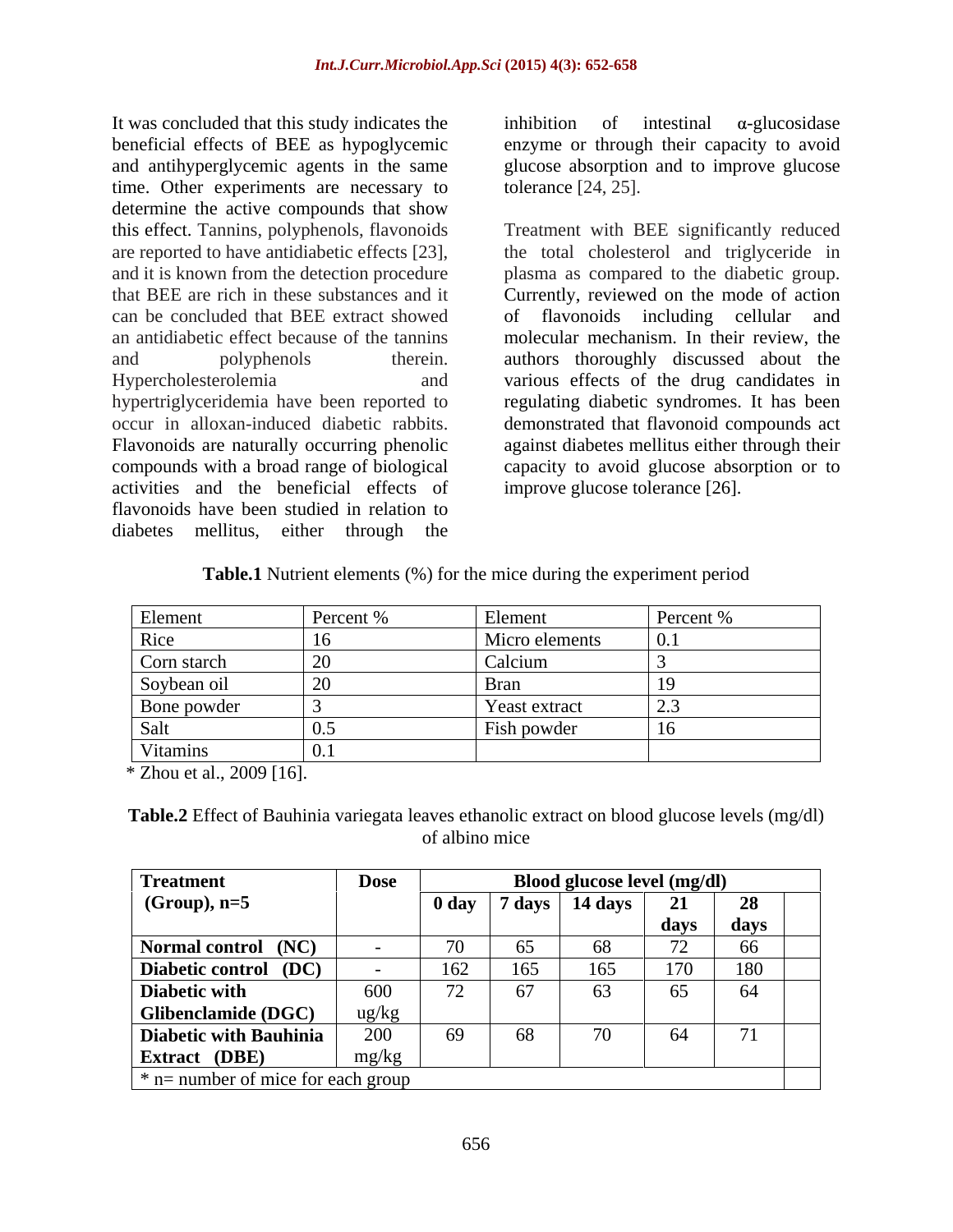It was concluded that this study indicates the  $\frac{1}{2}$  inhibition of intestinal  $\alpha$ -glucosidase beneficial effects of BEE as hypoglycemic and antihyperglycemic agents in the same time. Other experiments are necessary to determine the active compounds that show this effect. Tannins, polyphenols, flavonoids can be concluded that BEE extract showed hypertriglyceridemia have been reported to<br>occur in alloxan-induced diabetic rabbits. activities and the beneficial effects of flavonoids have been studied in relation to diabetes mellitus, either through the

inhibition of intestinal  $\alpha$ -glucosidase enzyme or through their capacity to avoid glucose absorption and to improve glucose tolerance [24, 25].

are reported to have antidiabetic effects [23], the total cholesterol and triglyceride in and it is known from the detection procedure plasma as compared to the diabetic group. that BEE are rich in these substances and it Currently, reviewed on the mode of action an antidiabetic effect because of the tannins molecular mechanism. In their review, the and polyphenols therein. authors thoroughly discussed about the Hypercholesterolemia and various effects of the drug candidates in occur in alloxan-induced diabetic rabbits. demonstrated that flavonoid compounds act Flavonoids are naturally occurring phenolic against diabetes mellitus either through their compounds with a broad range of biological capacity to avoid glucose absorption or to Treatment with BEE significantly reduced flavonoids including cellular regulating diabetic syndromes. It has been improve glucose tolerance [26].

| <b>Table.1</b> Nutrient elements (%) for the mice during the ex-<br>experiment period |  |
|---------------------------------------------------------------------------------------|--|
|                                                                                       |  |

| Element                    |                      | Percent \% |
|----------------------------|----------------------|------------|
|                            | Micro elements       |            |
| Corn starch                |                      |            |
|                            |                      |            |
| Soybean oil<br>Bone powder | <b>Yeast extract</b> |            |
|                            | ish powder           |            |
| Vitami                     |                      |            |

\* Zhou et al., 2009 [16].

**Table.2** Effect of Bauhinia variegata leaves ethanolic extract on blood glucose levels (mg/dl) of albino mice

| <b>Treatment</b>                   | <b>Dose</b>       | Blood glucose level (mg/dl)  |        |           |      |      |
|------------------------------------|-------------------|------------------------------|--------|-----------|------|------|
| $(Group), n=5$                     |                   | 0 <sub>day</sub>             | 7 days | 14 days   | 21   | 28   |
|                                    |                   |                              |        |           | days | days |
| Normal control (NC)                |                   |                              | 65     | 68        | 70   | 66   |
| Diabetic control (DC)              |                   | 162                          | 165    | 165       | 170  | 180  |
| Diabetic with                      | 600               | $\overline{a}$<br>$\sqrt{2}$ | 67     | 63        | 65   | 64   |
| <b>Glibenclamide (DGC)</b>         | $\frac{ug/kg}{g}$ |                              |        |           |      |      |
| <b>Diabetic with Bauhinia</b>      | 200               | 69                           | 68     | <b>-1</b> | 64   |      |
| <b>Extract</b> (DBE)               | mg/kg             |                              |        |           |      |      |
| * n= number of mice for each group |                   |                              |        |           |      |      |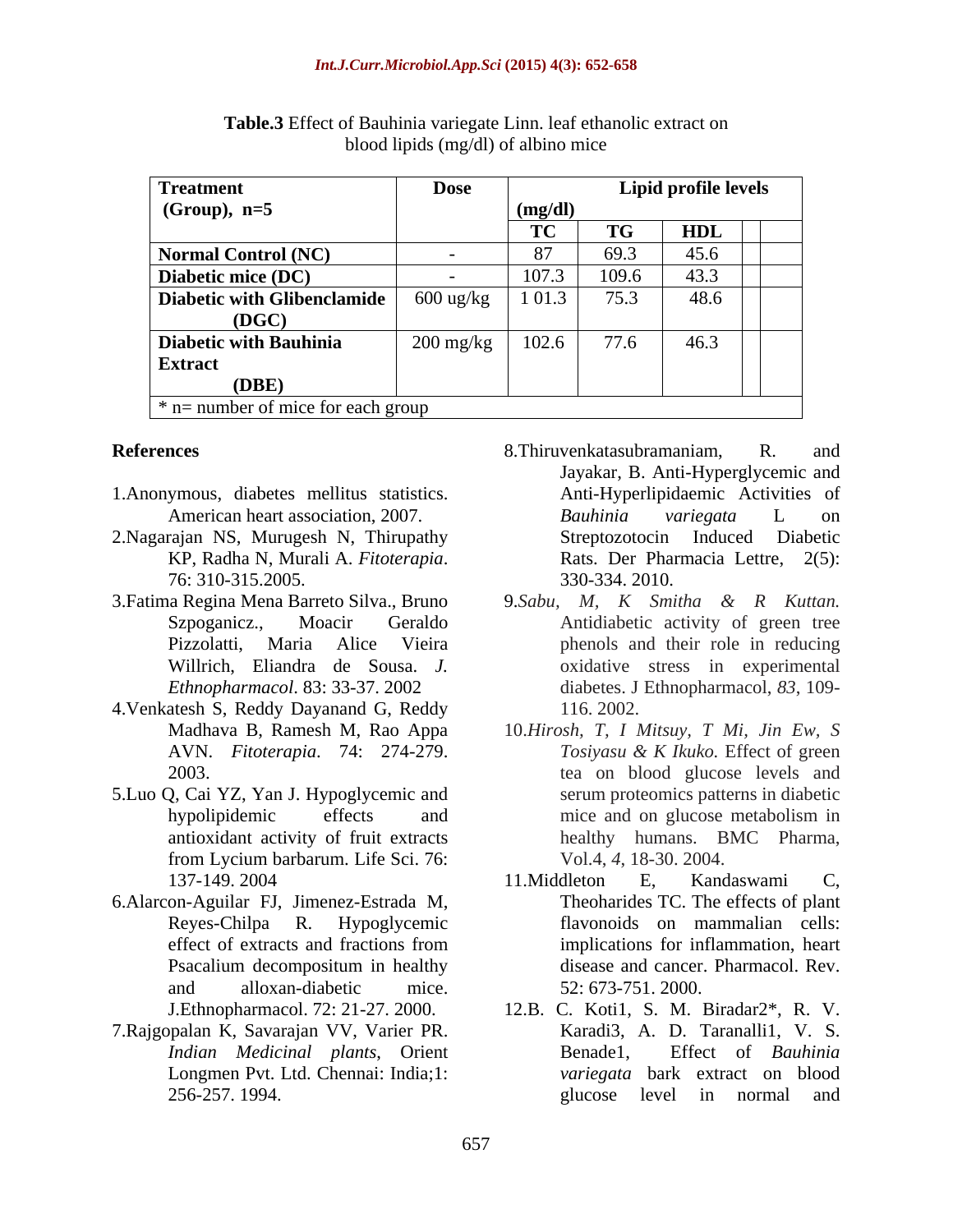| <b>Treatment</b>                                             | <b>Dose</b>         |                            |           | Lipid profile levels |  |  |
|--------------------------------------------------------------|---------------------|----------------------------|-----------|----------------------|--|--|
| $(Group), n=5$                                               |                     | (mg/dl)                    |           |                      |  |  |
|                                                              |                     | T <sub>1</sub><br>$\bf{1}$ | <b>TG</b> | <b>TIDI</b><br>HDL   |  |  |
| Normal Control (NC)                                          |                     |                            | 69.3      | 45.6                 |  |  |
| Diabetic mice (DC)                                           |                     | 107.3                      | 109.6     | 43.3                 |  |  |
| Diabetic with Glibenclamide                                  | $600$ ug/kg         | 1 0 1 .3                   | 75.3      | 48.6                 |  |  |
| (DGC)                                                        |                     |                            |           |                      |  |  |
| <b>Diabetic with Bauhinia</b>                                | $200 \text{ mg/kg}$ | 102.6                      | 77.6      | 46.3                 |  |  |
| <b>Extract</b>                                               |                     |                            |           |                      |  |  |
| (DBE)                                                        |                     |                            |           |                      |  |  |
| $\frac{1}{2}$ in $\frac{1}{2}$ number of mice for each group |                     |                            |           |                      |  |  |

| Table.3 Effec<br>$^{\circ}$ 1nn.<br>f ethanolic extract or<br>ີ່ ລະ<br>t Bauhinia variegate l<br>$\sqrt{2}$<br>- ivai |  |
|-----------------------------------------------------------------------------------------------------------------------|--|
| g/dl) of albino mice<br>$0$ lood lipids (mg/                                                                          |  |

- 1.Anonymous, diabetes mellitus statistics.
- 2. Nagarajan NS, Murugesh N, Thirupathy<br>
KP, Radha N, Murali A. *Fitoterapia*. Rats. Der Pharmacia Lettre, 2(5):
- 3. Fatima Regina Mena Barreto Silva., Bruno 9. Sabu, M, K Smitha & R Kuttan.
- 4.Venkatesh S, Reddy Dayanand G, Reddy
- 5.Luo Q, Cai YZ, Yan J.Hypoglycemic and from Lycium barbarum. Life Sci. 76:
- 6.Alarcon-Aguilar FJ, Jimenez-Estrada M,
- 7.Rajgopalan K, Savarajan VV, Varier PR. *Indian Medicinal plants*, Orient Longmen Pvt. Ltd. Chennai: India;1:
- **References** and **References References References References References References References References References References References References References References References Reference** American heart association, 2007. Bauhinia variegata L on KP, Radha N, Murali A. *Fitoterapia*. 76: 310-315.2005. 8.Thiruvenkatasubramaniam, R. and Jayakar, B. Anti-Hyperglycemic and Anti-Hyperlipidaemic Activities of *Bauhinia variegata* L on Streptozotocin Induced Diabetic Rats. Der Pharmacia Lettre, 2(5): 330-334. 2010.
	- Szpoganicz., Moacir Geraldo Antidiabetic activity of green tree Pizzolatti, Maria Alice Vieira phenols and their role in reducing Willrich, Eliandra de Sousa. *J.*  oxidative stress in experimental *Ethnopharmacol*. 83: 33-37. 2002 diabetes. J Ethnopharmacol, *83*, 109- 9.*Sabu, M, K Smitha & R Kuttan.* 116. 2002.
	- Madhava B, Ramesh M, Rao Appa 10.*Hirosh, T, I Mitsuy, T Mi, Jin Ew, S* AVN. *Fitoterapia*. 74: 274-279. 2003. tea on blood glucose levels and hypolipidemic effects and mice and on glucose metabolism in antioxidant activity of fruit extracts healthy humans. BMC Pharma, *Tosiyasu & K Ikuko.* Effect of green serum proteomics patterns in diabetic mice and on glucose metabolism in Vol.4, *4*, 18-30. 2004.
	- 137-149. 2004 11. Middleton E, Kandaswami C, Reyes-Chilpa R. Hypoglycemic flavonoids on mammalian cells: effect of extracts and fractions from emplications for inflammation, heart Psacalium decompositum in healthy disease and cancer. Pharmacol. Rev. and alloxan-diabetic mice. 52: 673-751. 2000. 11.Middleton E, Kandaswami C, Theoharides TC. The effects of plant implications for inflammation, heart disease and cancer. Pharmacol. Rev. 52: 673-751. 2000.
	- J.Ethnopharmacol. 72: 21-27. 2000. 12.B. C. Koti1, S. M. Biradar2\*, R. V. 256-257. 1994. 256-257. 2008. Property and server server that the server server server that the server server Karadi3, A. D. Taranalli1, V. S. Effect of *Bauhinia variegata* bark extract on blood glucose level in normal and